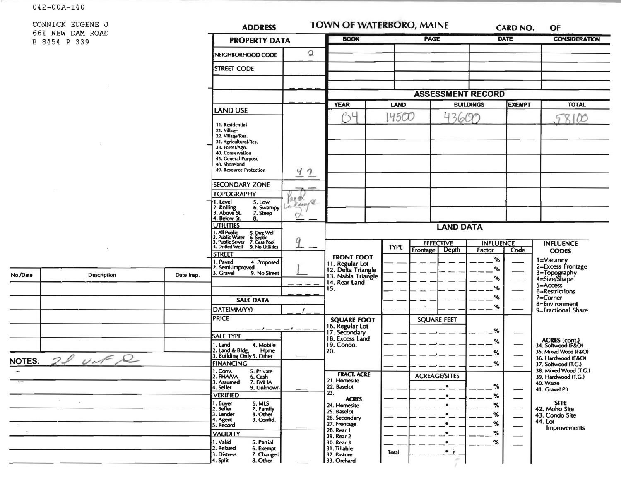$042 - 00A - 140$ 

 $\sim 10^{-11}$ 

No./Date

NOTES:

 $-10$ 

 $\mathcal{D}_{-}$ 

 $\lambda$ 

CONNICK EUGEN 661 NEW DAM F B 8454 P 339

| ROAD               |                      | <b>ADDRESS</b>                                                                                                                                                                         |                                                                                                         | <b>TOWN OF WATERBORO, MAINE</b>                             |             |                                                             | CARD NO. | OF                       |                                              |
|--------------------|----------------------|----------------------------------------------------------------------------------------------------------------------------------------------------------------------------------------|---------------------------------------------------------------------------------------------------------|-------------------------------------------------------------|-------------|-------------------------------------------------------------|----------|--------------------------|----------------------------------------------|
|                    | <b>PROPERTY DATA</b> |                                                                                                                                                                                        |                                                                                                         | <b>BOOK</b>                                                 |             | <b>PAGE</b>                                                 |          | <b>DATE</b>              | <b>CONSIDERATION</b>                         |
|                    |                      | NEIGHBORHOOD CODE                                                                                                                                                                      | $\mathfrak{D}% _{T}=\mathfrak{D}_{T}\!\left( a,b\right) ,\ \mathfrak{D}_{T}=C_{T}\!\left( a,b\right) ,$ |                                                             |             |                                                             |          |                          |                                              |
|                    |                      | <b>STREET CODE</b>                                                                                                                                                                     |                                                                                                         |                                                             |             |                                                             |          |                          |                                              |
|                    |                      |                                                                                                                                                                                        |                                                                                                         |                                                             |             |                                                             |          |                          |                                              |
|                    |                      |                                                                                                                                                                                        |                                                                                                         |                                                             |             |                                                             |          |                          |                                              |
|                    |                      |                                                                                                                                                                                        |                                                                                                         | <b>YEAR</b>                                                 |             | <b>ASSESSMENT RECORD</b><br><b>LAND</b><br><b>BUILDINGS</b> |          | EXEMPT                   | <b>TOTAL</b>                                 |
|                    |                      | LAND USE                                                                                                                                                                               |                                                                                                         |                                                             | 14500       | 43600                                                       |          |                          | 8100<br>5                                    |
|                    |                      | 11. Residential<br>21. Village<br>22. Village/Res.<br>31. Agricultural/Res.<br>33. Forest/Agri.<br>40. Conservation<br>45. General Purpose<br>48. Shoreland<br>49. Resource Protection | 47                                                                                                      |                                                             |             |                                                             |          |                          |                                              |
|                    |                      | <b>SECONDARY ZONE</b>                                                                                                                                                                  |                                                                                                         |                                                             |             |                                                             |          |                          |                                              |
|                    |                      | <b>TOPOGRAPHY</b>                                                                                                                                                                      |                                                                                                         |                                                             |             |                                                             |          |                          |                                              |
|                    |                      | 5. Low<br>1. Level<br>2. Rolling<br>3. Above St.<br>6. Swampy<br>7. Steep                                                                                                              | and<br>a deagle                                                                                         |                                                             |             |                                                             |          |                          |                                              |
|                    |                      | 4. Below St.<br>8.<br><b>UTILITIES</b>                                                                                                                                                 |                                                                                                         |                                                             |             | <b>LAND DATA</b>                                            |          |                          |                                              |
|                    |                      | 1. All Public<br>2. Public Water<br>3. Public Sewer<br>4. Drilled Well<br>5. Dug Well<br>6. Septic<br>7. Cess Pool<br>9. No Utilities<br><b>STREET</b>                                 |                                                                                                         |                                                             | <b>TYPE</b> | <b>EFFECTIVE</b><br>Frontage<br>Depth<br>Factor             |          | <b>INFLUENCE</b><br>Code | <b>INFLUENCE</b><br><b>CODES</b>             |
|                    |                      | 1. Paved<br>4. Proposed                                                                                                                                                                |                                                                                                         | <b>FRONT FOOT</b>                                           |             |                                                             | %        |                          | 1=Vacancy<br>2=Excess Frontage               |
| <b>Description</b> | Date Insp.           | 2. Semi-Improved<br>3. Gravel<br>9. No Street                                                                                                                                          |                                                                                                         | 11. Regular Lot<br>12. Delta Triangle<br>13. Nabla Triangle |             |                                                             | %        |                          | 3=Topography<br>4=Size/Shape                 |
|                    |                      |                                                                                                                                                                                        |                                                                                                         | 14. Rear Land<br>15.                                        |             |                                                             | %<br>%   |                          | $5 =$ Access                                 |
|                    |                      |                                                                                                                                                                                        |                                                                                                         |                                                             |             |                                                             | %        |                          | 6=Restrictions<br>$7 =$ Corner               |
|                    |                      | <b>SALE DATA</b>                                                                                                                                                                       |                                                                                                         |                                                             |             |                                                             | %        |                          | 8=Environment                                |
|                    |                      | DATE(MM/YY)<br><b>PRICE</b>                                                                                                                                                            |                                                                                                         |                                                             |             |                                                             |          |                          | 9=Fractional Share                           |
|                    |                      |                                                                                                                                                                                        |                                                                                                         | <b>SQUARE FOOT</b>                                          |             | <b>SQUARE FEET</b>                                          |          |                          |                                              |
|                    |                      | <b>SALE TYPE</b>                                                                                                                                                                       |                                                                                                         | 16. Regular Lot<br>17. Secondary<br>18. Excess Land         |             |                                                             | %        |                          |                                              |
|                    |                      | 1. Land<br>4. Mobile                                                                                                                                                                   |                                                                                                         | 19. Condo.                                                  |             |                                                             | %        |                          | ACRES (cont.)<br>34. Softwood (F&O)          |
|                    |                      | 2. Land & Bldg.<br>Home<br>3. Building Only 5. Other                                                                                                                                   |                                                                                                         | 20.                                                         |             |                                                             | %        |                          | 35. Mixed Wood (F&O)<br>36. Hardwood (F&O)   |
| $1\sqrt{2}$        |                      | <b>FINANCING</b>                                                                                                                                                                       |                                                                                                         |                                                             |             |                                                             | $\%$     |                          | 37. Softwood (T.G.)                          |
|                    |                      | 1. Conv.<br>5. Private<br>2. FHAVA<br>6. Cash                                                                                                                                          |                                                                                                         | <b>FRACT. ACRE</b>                                          |             | <b>ACREAGE/SITES</b>                                        |          |                          | 38. Mixed Wood (T.G.)<br>39. Hardwood (T.G.) |
|                    |                      | 7. FMHA<br>3. Assumed<br>4. Seiler<br>9. Unknown                                                                                                                                       |                                                                                                         | 21. Homesite<br>22. Baselot                                 |             | $\bullet$                                                   | %        |                          | 40. Waste                                    |
|                    |                      | <b>VERIFIED</b>                                                                                                                                                                        |                                                                                                         | 23.<br><b>ACRES</b>                                         |             |                                                             | %        |                          | 41. Gravel Pit                               |
|                    |                      | 1. Buyer<br>2. Seller<br>6. MLS                                                                                                                                                        |                                                                                                         | 24. Homesite                                                |             |                                                             | $\%$     |                          | <b>SITE</b><br>42. Moho Site                 |
|                    |                      | 7. Family<br>3. Lender<br>8. Other                                                                                                                                                     |                                                                                                         | 25. Baselot<br>26. Secondary                                |             |                                                             | %        |                          | 43. Condo Site                               |
|                    |                      | 9. Confid.<br>4. Agent<br>5. Record                                                                                                                                                    |                                                                                                         | 27. Frontage                                                |             |                                                             | $\%$     |                          | 44. Lot<br>Improvements                      |
|                    |                      | <b>VALIDITY</b>                                                                                                                                                                        |                                                                                                         | 28. Rear 1<br>29. Rear 2                                    |             |                                                             | $\%$     |                          |                                              |
|                    |                      | 1. Valid<br>5. Partial<br>2. Related<br>6. Exempt                                                                                                                                      |                                                                                                         | 30. Rear 3<br>31. Tillable                                  |             |                                                             | $\%$     |                          |                                              |
|                    |                      |                                                                                                                                                                                        |                                                                                                         |                                                             |             | <u>ئی.</u>                                                  |          |                          |                                              |